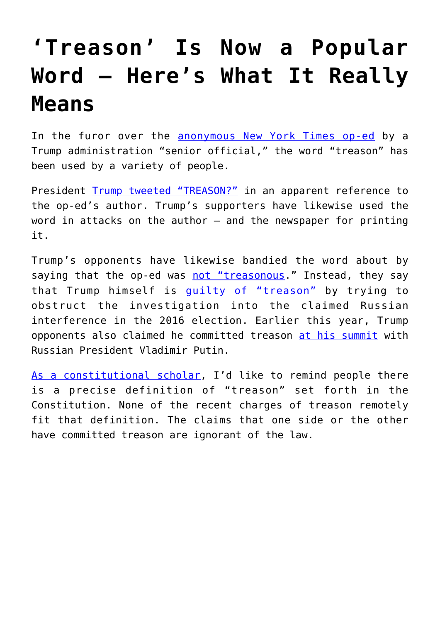## **['Treason' Is Now a Popular](https://intellectualtakeout.org/2018/09/treason-is-now-a-popular-word-heres-what-it-really-means/) [Word – Here's What It Really](https://intellectualtakeout.org/2018/09/treason-is-now-a-popular-word-heres-what-it-really-means/) [Means](https://intellectualtakeout.org/2018/09/treason-is-now-a-popular-word-heres-what-it-really-means/)**

In the furor over the [anonymous New York Times op-ed](https://www.nytimes.com/2018/09/05/opinion/trump-white-house-anonymous-resistance.html) by a Trump administration "senior official," the word "treason" has been used by a variety of people.

President [Trump tweeted "TREASON?"](https://www.independent.co.uk/news/world/americas/donald-trump-new-york-times-article-op-ed-treason-rally-president-anonymous-who-wrote-a8526606.html) in an apparent reference to the op-ed's author. Trump's supporters have likewise used the word in attacks on the author  $-$  and the newspaper for printing it.

Trump's opponents have likewise bandied the word about by saying that the op-ed was [not "treasonous.](https://www.usatoday.com/story/news/politics/onpolitics/2018/09/05/trump-officials-op-ed-treasonous-nope/1208054002/)" Instead, they say that Trump himself is [guilty of "treason"](https://www.bbc.com/news/world-us-canada-42493918) by trying to obstruct the investigation into the claimed Russian interference in the 2016 election. Earlier this year, Trump opponents also claimed he committed treason [at his summit](https://www.realclearpolitics.com/video/2018/07/17/brennan_trump_putin_presser_nothing_short_of_treasonous_there_will_be_consequences_for_him.html) with Russian President Vladimir Putin.

[As a constitutional scholar](https://papers.ssrn.com/sol3/cf_dev/AbsByAuth.cfm?per_id=625380), I'd like to remind people there is a precise definition of "treason" set forth in the Constitution. None of the recent charges of treason remotely fit that definition. The claims that one side or the other have committed treason are ignorant of the law.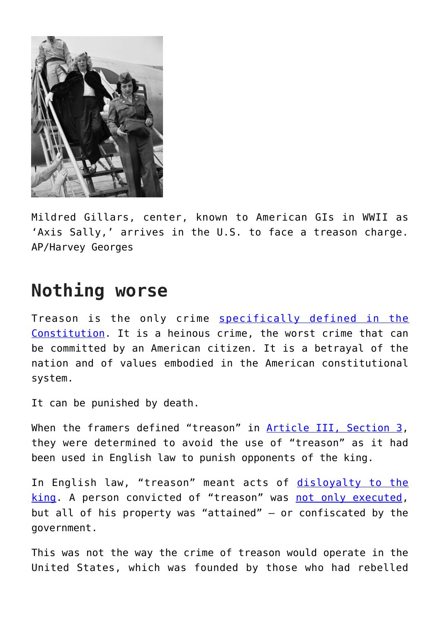

Mildred Gillars, center, known to American GIs in WWII as 'Axis Sally,' arrives in the U.S. to face a treason charge. AP/Harvey Georges

## **Nothing worse**

Treason is the only crime [specifically defined in the](https://www.law.cornell.edu/constitution/articleiii) [Constitution](https://www.law.cornell.edu/constitution/articleiii). It is a heinous crime, the worst crime that can be committed by an American citizen. It is a betrayal of the nation and of values embodied in the American constitutional system.

It can be punished by death.

When the framers defined "treason" in [Article III, Section 3,](https://www.law.cornell.edu/constitution/articleiii) they were determined to avoid the use of "treason" as it had been used in English law to punish opponents of the king.

In English law, "treason" meant acts of [disloyalty to the](http://www.legislation.gov.uk/aep/Edw3Stat5/25/2/introduction) [king](http://www.legislation.gov.uk/aep/Edw3Stat5/25/2/introduction). A person convicted of "treason" was [not only executed,](https://www.theguardian.com/law/2014/oct/17/treason-act-facts-british-extremists-iraq-syria-isis) but all of his property was "attained" – or confiscated by the government.

This was not the way the crime of treason would operate in the United States, which was founded by those who had rebelled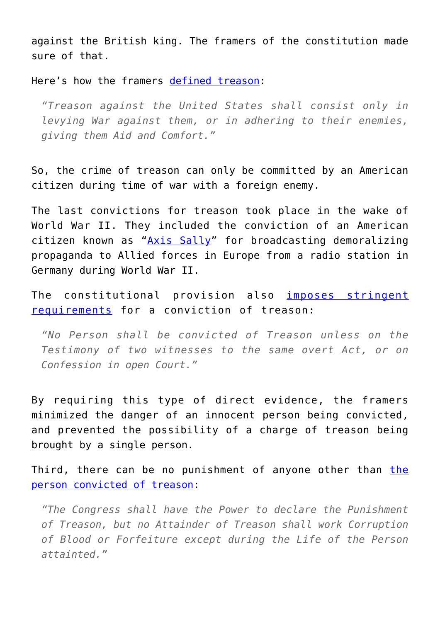against the British king. The framers of the constitution made sure of that.

Here's how the framers [defined treason](https://www.nytimes.com/1861/01/25/archives/treason-against-the-united-states.html):

*"Treason against the United States shall consist only in levying War against them, or in adhering to their enemies, giving them Aid and Comfort."*

So, the crime of treason can only be committed by an American citizen during time of war with a foreign enemy.

The last convictions for treason took place in the wake of World War II. They included the conviction of an American citizen known as "[Axis Sally"](https://www.britannica.com/biography/Mildred-Gillars) for broadcasting demoralizing propaganda to Allied forces in Europe from a radio station in Germany during World War II.

The constitutional provision also [imposes stringent](https://www.law.cornell.edu/constitution/articleiii) [requirements](https://www.law.cornell.edu/constitution/articleiii) for a conviction of treason:

*"No Person shall be convicted of Treason unless on the Testimony of two witnesses to the same overt Act, or on Confession in open Court."*

By requiring this type of direct evidence, the framers minimized the danger of an innocent person being convicted, and prevented the possibility of a charge of treason being brought by a single person.

Third, [the](http://www.annenbergclassroom.org/page/article-iii-section-3)re can be no punishment of anyone other than the [person convicted of treason:](http://www.annenbergclassroom.org/page/article-iii-section-3)

*"The Congress shall have the Power to declare the Punishment of Treason, but no Attainder of Treason shall work Corruption of Blood or Forfeiture except during the Life of the Person attainted."*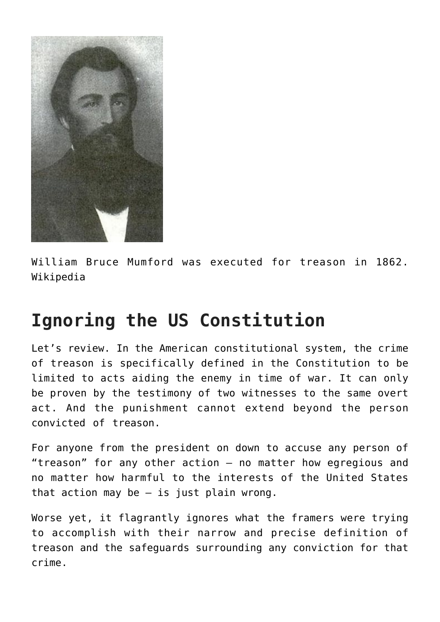

William Bruce Mumford was executed for treason in 1862. Wikipedia

## **Ignoring the US Constitution**

Let's review. In the American constitutional system, the crime of treason is specifically defined in the Constitution to be limited to acts aiding the enemy in time of war. It can only be proven by the testimony of two witnesses to the same overt act. And the punishment cannot extend beyond the person convicted of treason.

For anyone from the president on down to accuse any person of "treason" for any other action – no matter how egregious and no matter how harmful to the interests of the United States that action may be  $-$  is just plain wrong.

Worse yet, it flagrantly ignores what the framers were trying to accomplish with their narrow and precise definition of treason and the safeguards surrounding any conviction for that crime.